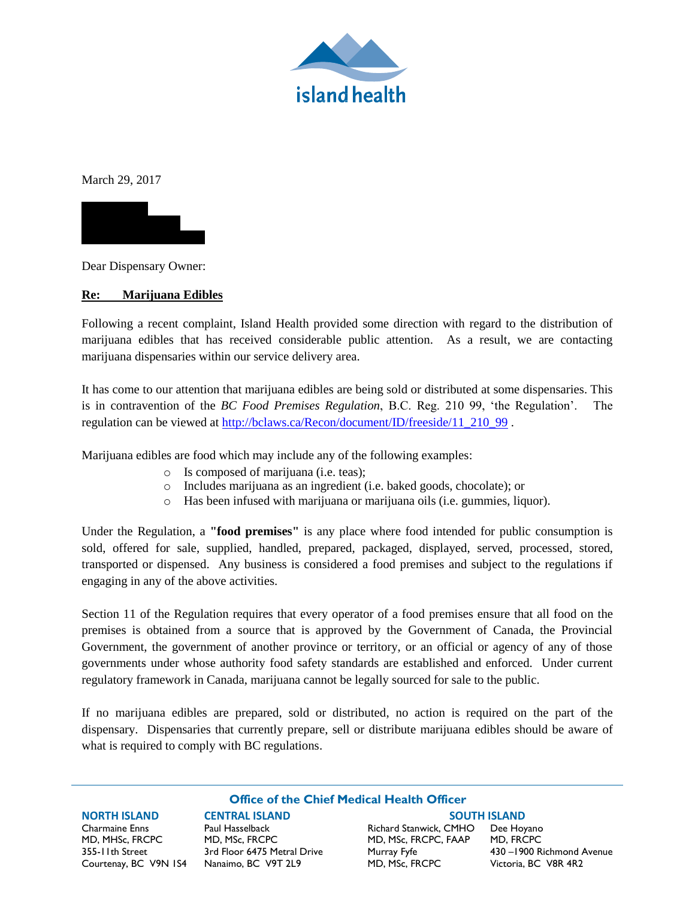

March 29, 2017



Dear Dispensary Owner:

## **Re: Marijuana Edibles**

Following a recent complaint, Island Health provided some direction with regard to the distribution of marijuana edibles that has received considerable public attention. As a result, we are contacting marijuana dispensaries within our service delivery area.

It has come to our attention that marijuana edibles are being sold or distributed at some dispensaries. This is in contravention of the *BC Food Premises Regulation*, B.C. Reg. 210 99, 'the Regulation'. The regulation can be viewed at [http://bclaws.ca/Recon/document/ID/freeside/11\\_210\\_99](http://bclaws.ca/Recon/document/ID/freeside/11_210_99) .

Marijuana edibles are food which may include any of the following examples:

- o Is composed of marijuana (i.e. teas);
- o Includes marijuana as an ingredient (i.e. baked goods, chocolate); or
- o Has been infused with marijuana or marijuana oils (i.e. gummies, liquor).

Under the Regulation, a **"food premises"** is any place where food intended for public consumption is sold, offered for sale, supplied, handled, prepared, packaged, displayed, served, processed, stored, transported or dispensed. Any business is considered a food premises and subject to the regulations if engaging in any of the above activities.

Section 11 of the Regulation requires that every operator of a food premises ensure that all food on the premises is obtained from a source that is approved by the Government of Canada, the Provincial Government, the government of another province or territory, or an official or agency of any of those governments under whose authority food safety standards are established and enforced. Under current regulatory framework in Canada, marijuana cannot be legally sourced for sale to the public.

If no marijuana edibles are prepared, sold or distributed, no action is required on the part of the dispensary. Dispensaries that currently prepare, sell or distribute marijuana edibles should be aware of what is required to comply with BC regulations.

**Office of the Chief Medical Health Officer** 

**NORTH ISLAND CENTRAL ISLAND SOUTH ISLAND**  Charmaine Enns Paul Hasselback Richard Stanwick, CMHO Dee Hoyano MD, MHSc, FRCPC MD, MSc, FRCPC MD, MSc, FRCPC, FAAP MD, FRCPC 355-11th Street 3rd Floor 6475 Metral Drive Murray Fyfe 430 –1900 Richmond Avenue

Courtenay, BC V9N 1S4 Nanaimo, BC V9T 2L9 MD, MSc, FRCPC Victoria, BC V8R 4R2